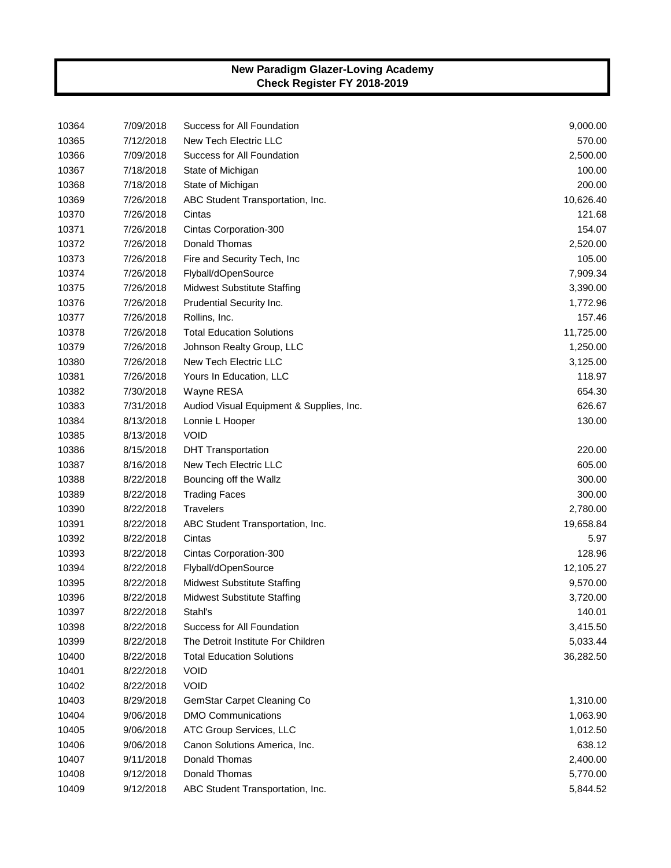| 10364 | 7/09/2018 | Success for All Foundation               | 9,000.00  |
|-------|-----------|------------------------------------------|-----------|
| 10365 | 7/12/2018 | New Tech Electric LLC                    | 570.00    |
| 10366 | 7/09/2018 | Success for All Foundation               | 2,500.00  |
| 10367 | 7/18/2018 | State of Michigan                        | 100.00    |
| 10368 | 7/18/2018 | State of Michigan                        | 200.00    |
| 10369 | 7/26/2018 | ABC Student Transportation, Inc.         | 10,626.40 |
| 10370 | 7/26/2018 | Cintas                                   | 121.68    |
| 10371 | 7/26/2018 | Cintas Corporation-300                   | 154.07    |
| 10372 | 7/26/2018 | Donald Thomas                            | 2,520.00  |
| 10373 | 7/26/2018 | Fire and Security Tech, Inc              | 105.00    |
| 10374 | 7/26/2018 | Flyball/dOpenSource                      | 7,909.34  |
| 10375 | 7/26/2018 | <b>Midwest Substitute Staffing</b>       | 3,390.00  |
| 10376 | 7/26/2018 | Prudential Security Inc.                 | 1,772.96  |
| 10377 | 7/26/2018 | Rollins, Inc.                            | 157.46    |
| 10378 | 7/26/2018 | <b>Total Education Solutions</b>         | 11,725.00 |
| 10379 | 7/26/2018 | Johnson Realty Group, LLC                | 1,250.00  |
| 10380 | 7/26/2018 | New Tech Electric LLC                    | 3,125.00  |
| 10381 | 7/26/2018 | Yours In Education, LLC                  | 118.97    |
| 10382 | 7/30/2018 | Wayne RESA                               | 654.30    |
| 10383 | 7/31/2018 | Audiod Visual Equipment & Supplies, Inc. | 626.67    |
| 10384 | 8/13/2018 | Lonnie L Hooper                          | 130.00    |
| 10385 | 8/13/2018 | <b>VOID</b>                              |           |
| 10386 | 8/15/2018 | <b>DHT Transportation</b>                | 220.00    |
| 10387 | 8/16/2018 | New Tech Electric LLC                    | 605.00    |
| 10388 | 8/22/2018 | Bouncing off the Wallz                   | 300.00    |
| 10389 | 8/22/2018 | <b>Trading Faces</b>                     | 300.00    |
| 10390 | 8/22/2018 | <b>Travelers</b>                         | 2,780.00  |
| 10391 | 8/22/2018 | ABC Student Transportation, Inc.         | 19,658.84 |
| 10392 | 8/22/2018 | Cintas                                   | 5.97      |
| 10393 | 8/22/2018 | Cintas Corporation-300                   | 128.96    |
| 10394 | 8/22/2018 | Flyball/dOpenSource                      | 12,105.27 |
| 10395 | 8/22/2018 | <b>Midwest Substitute Staffing</b>       | 9,570.00  |
| 10396 | 8/22/2018 | <b>Midwest Substitute Staffing</b>       | 3,720.00  |
| 10397 | 8/22/2018 | Stahl's                                  | 140.01    |
| 10398 | 8/22/2018 | Success for All Foundation               | 3,415.50  |
| 10399 | 8/22/2018 | The Detroit Institute For Children       | 5,033.44  |
| 10400 | 8/22/2018 | <b>Total Education Solutions</b>         | 36,282.50 |
| 10401 | 8/22/2018 | <b>VOID</b>                              |           |
| 10402 | 8/22/2018 | <b>VOID</b>                              |           |
| 10403 | 8/29/2018 | GemStar Carpet Cleaning Co               | 1,310.00  |
| 10404 | 9/06/2018 | <b>DMO Communications</b>                | 1,063.90  |
| 10405 | 9/06/2018 | ATC Group Services, LLC                  | 1,012.50  |
| 10406 | 9/06/2018 | Canon Solutions America, Inc.            | 638.12    |
| 10407 | 9/11/2018 | Donald Thomas                            | 2,400.00  |
| 10408 | 9/12/2018 | Donald Thomas                            | 5,770.00  |
| 10409 | 9/12/2018 | ABC Student Transportation, Inc.         | 5,844.52  |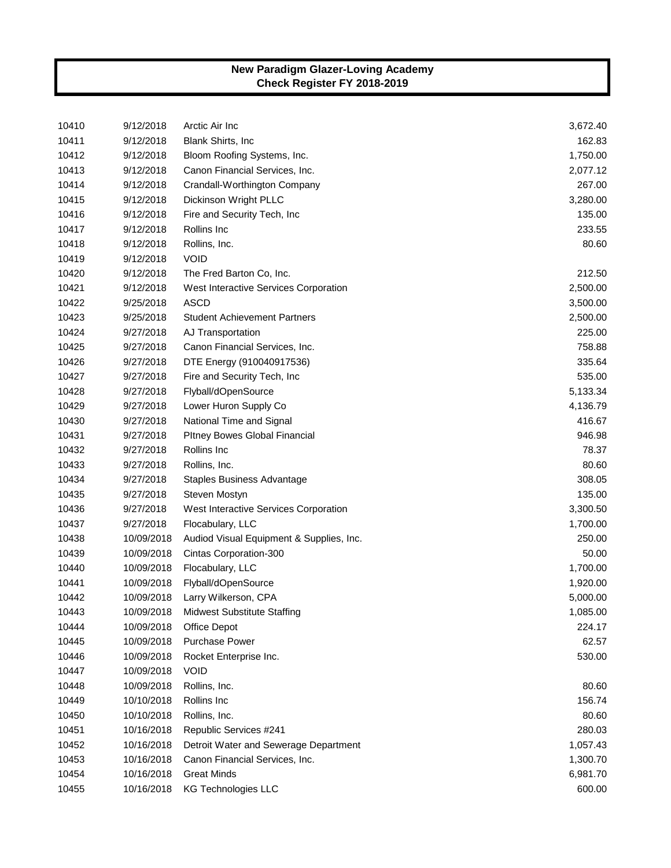| 10410 | 9/12/2018  | Arctic Air Inc                           | 3,672.40 |
|-------|------------|------------------------------------------|----------|
| 10411 | 9/12/2018  | <b>Blank Shirts, Inc.</b>                | 162.83   |
| 10412 | 9/12/2018  | Bloom Roofing Systems, Inc.              | 1,750.00 |
| 10413 | 9/12/2018  | Canon Financial Services, Inc.           | 2,077.12 |
| 10414 | 9/12/2018  | Crandall-Worthington Company             | 267.00   |
| 10415 | 9/12/2018  | Dickinson Wright PLLC                    | 3,280.00 |
| 10416 | 9/12/2018  | Fire and Security Tech, Inc.             | 135.00   |
| 10417 | 9/12/2018  | Rollins Inc                              | 233.55   |
| 10418 | 9/12/2018  | Rollins, Inc.                            | 80.60    |
| 10419 | 9/12/2018  | <b>VOID</b>                              |          |
| 10420 | 9/12/2018  | The Fred Barton Co, Inc.                 | 212.50   |
| 10421 | 9/12/2018  | West Interactive Services Corporation    | 2,500.00 |
| 10422 | 9/25/2018  | <b>ASCD</b>                              | 3,500.00 |
| 10423 | 9/25/2018  | <b>Student Achievement Partners</b>      | 2,500.00 |
| 10424 | 9/27/2018  | AJ Transportation                        | 225.00   |
| 10425 | 9/27/2018  | Canon Financial Services, Inc.           | 758.88   |
| 10426 | 9/27/2018  | DTE Energy (910040917536)                | 335.64   |
| 10427 | 9/27/2018  | Fire and Security Tech, Inc              | 535.00   |
| 10428 | 9/27/2018  | Flyball/dOpenSource                      | 5,133.34 |
| 10429 | 9/27/2018  | Lower Huron Supply Co                    | 4,136.79 |
| 10430 | 9/27/2018  | National Time and Signal                 | 416.67   |
| 10431 | 9/27/2018  | Pltney Bowes Global Financial            | 946.98   |
| 10432 | 9/27/2018  | Rollins Inc                              | 78.37    |
| 10433 | 9/27/2018  | Rollins, Inc.                            | 80.60    |
| 10434 | 9/27/2018  | Staples Business Advantage               | 308.05   |
| 10435 | 9/27/2018  | Steven Mostyn                            | 135.00   |
| 10436 | 9/27/2018  | West Interactive Services Corporation    | 3,300.50 |
| 10437 | 9/27/2018  | Flocabulary, LLC                         | 1,700.00 |
| 10438 | 10/09/2018 | Audiod Visual Equipment & Supplies, Inc. | 250.00   |
| 10439 | 10/09/2018 | Cintas Corporation-300                   | 50.00    |
| 10440 | 10/09/2018 | Flocabulary, LLC                         | 1,700.00 |
| 10441 | 10/09/2018 | Flyball/dOpenSource                      | 1,920.00 |
| 10442 | 10/09/2018 | Larry Wilkerson, CPA                     | 5,000.00 |
| 10443 | 10/09/2018 | <b>Midwest Substitute Staffing</b>       | 1,085.00 |
| 10444 | 10/09/2018 | Office Depot                             | 224.17   |
| 10445 | 10/09/2018 | <b>Purchase Power</b>                    | 62.57    |
| 10446 | 10/09/2018 | Rocket Enterprise Inc.                   | 530.00   |
| 10447 | 10/09/2018 | <b>VOID</b>                              |          |
| 10448 | 10/09/2018 | Rollins, Inc.                            | 80.60    |
| 10449 | 10/10/2018 | Rollins Inc                              | 156.74   |
| 10450 | 10/10/2018 | Rollins, Inc.                            | 80.60    |
| 10451 | 10/16/2018 | Republic Services #241                   | 280.03   |
| 10452 | 10/16/2018 | Detroit Water and Sewerage Department    | 1,057.43 |
| 10453 | 10/16/2018 | Canon Financial Services, Inc.           | 1,300.70 |
| 10454 | 10/16/2018 | <b>Great Minds</b>                       | 6,981.70 |
| 10455 | 10/16/2018 | <b>KG Technologies LLC</b>               | 600.00   |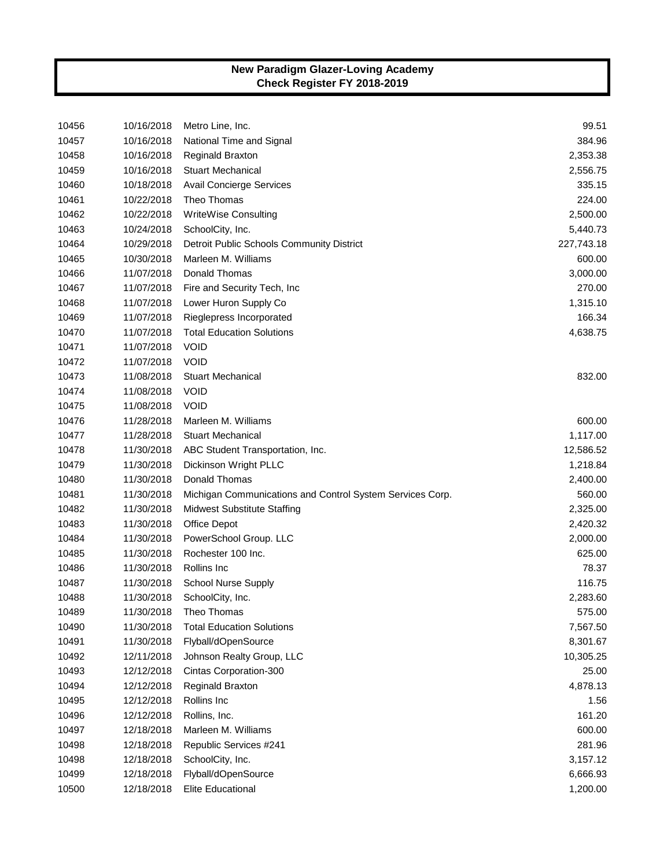| 10456 | 10/16/2018 | Metro Line, Inc.                                          | 99.51      |
|-------|------------|-----------------------------------------------------------|------------|
| 10457 | 10/16/2018 | National Time and Signal                                  | 384.96     |
| 10458 | 10/16/2018 | <b>Reginald Braxton</b>                                   | 2,353.38   |
| 10459 | 10/16/2018 | <b>Stuart Mechanical</b>                                  | 2,556.75   |
| 10460 | 10/18/2018 | Avail Concierge Services                                  | 335.15     |
| 10461 | 10/22/2018 | Theo Thomas                                               | 224.00     |
| 10462 | 10/22/2018 | WriteWise Consulting                                      | 2,500.00   |
| 10463 | 10/24/2018 | SchoolCity, Inc.                                          | 5,440.73   |
| 10464 | 10/29/2018 | Detroit Public Schools Community District                 | 227,743.18 |
| 10465 | 10/30/2018 | Marleen M. Williams                                       | 600.00     |
| 10466 | 11/07/2018 | Donald Thomas                                             | 3,000.00   |
| 10467 | 11/07/2018 | Fire and Security Tech, Inc                               | 270.00     |
| 10468 | 11/07/2018 | Lower Huron Supply Co                                     | 1,315.10   |
| 10469 | 11/07/2018 | Rieglepress Incorporated                                  | 166.34     |
| 10470 | 11/07/2018 | <b>Total Education Solutions</b>                          | 4,638.75   |
| 10471 | 11/07/2018 | <b>VOID</b>                                               |            |
| 10472 | 11/07/2018 | <b>VOID</b>                                               |            |
| 10473 | 11/08/2018 | <b>Stuart Mechanical</b>                                  | 832.00     |
| 10474 | 11/08/2018 | <b>VOID</b>                                               |            |
| 10475 | 11/08/2018 | <b>VOID</b>                                               |            |
| 10476 | 11/28/2018 | Marleen M. Williams                                       | 600.00     |
| 10477 | 11/28/2018 | <b>Stuart Mechanical</b>                                  | 1,117.00   |
| 10478 | 11/30/2018 | ABC Student Transportation, Inc.                          | 12,586.52  |
| 10479 | 11/30/2018 | Dickinson Wright PLLC                                     | 1,218.84   |
| 10480 | 11/30/2018 | Donald Thomas                                             | 2,400.00   |
| 10481 | 11/30/2018 | Michigan Communications and Control System Services Corp. | 560.00     |
| 10482 | 11/30/2018 | <b>Midwest Substitute Staffing</b>                        | 2,325.00   |
| 10483 | 11/30/2018 | Office Depot                                              | 2,420.32   |
| 10484 | 11/30/2018 | PowerSchool Group. LLC                                    | 2,000.00   |
| 10485 | 11/30/2018 | Rochester 100 Inc.                                        | 625.00     |
| 10486 | 11/30/2018 | Rollins Inc                                               | 78.37      |
| 10487 | 11/30/2018 | <b>School Nurse Supply</b>                                | 116.75     |
| 10488 | 11/30/2018 | SchoolCity, Inc.                                          | 2,283.60   |
| 10489 | 11/30/2018 | Theo Thomas                                               | 575.00     |
| 10490 | 11/30/2018 | <b>Total Education Solutions</b>                          | 7,567.50   |
| 10491 | 11/30/2018 | Flyball/dOpenSource                                       | 8,301.67   |
| 10492 | 12/11/2018 | Johnson Realty Group, LLC                                 | 10,305.25  |
| 10493 | 12/12/2018 | Cintas Corporation-300                                    | 25.00      |
| 10494 | 12/12/2018 | <b>Reginald Braxton</b>                                   | 4,878.13   |
| 10495 | 12/12/2018 | Rollins Inc                                               | 1.56       |
| 10496 | 12/12/2018 | Rollins, Inc.                                             | 161.20     |
| 10497 | 12/18/2018 | Marleen M. Williams                                       | 600.00     |
| 10498 | 12/18/2018 | Republic Services #241                                    | 281.96     |
| 10498 | 12/18/2018 | SchoolCity, Inc.                                          | 3,157.12   |
| 10499 | 12/18/2018 | Flyball/dOpenSource                                       | 6,666.93   |
| 10500 | 12/18/2018 | Elite Educational                                         | 1,200.00   |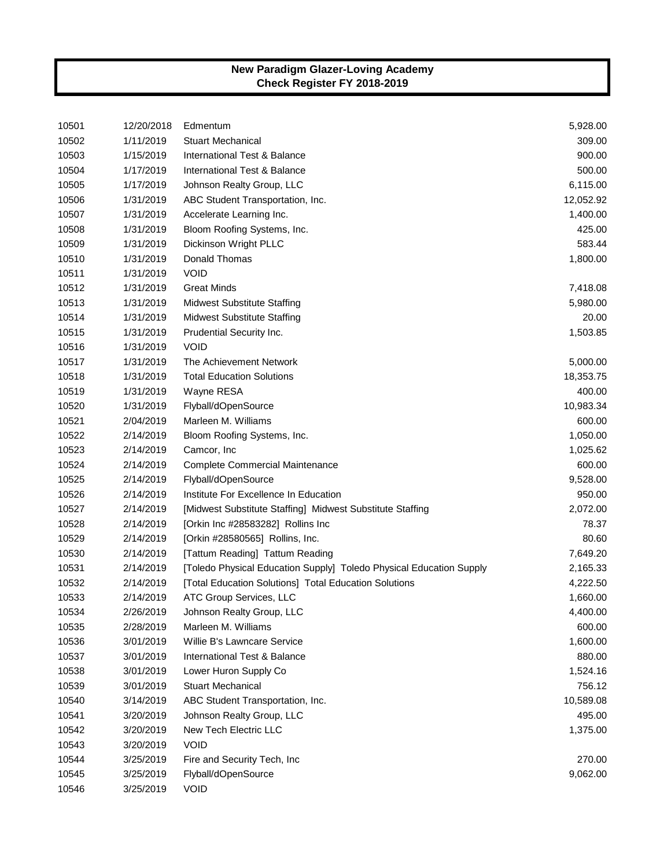| 10501 | 12/20/2018 | Edmentum                                                            | 5,928.00  |
|-------|------------|---------------------------------------------------------------------|-----------|
| 10502 | 1/11/2019  | <b>Stuart Mechanical</b>                                            | 309.00    |
| 10503 | 1/15/2019  | International Test & Balance                                        | 900.00    |
| 10504 | 1/17/2019  | International Test & Balance                                        | 500.00    |
| 10505 | 1/17/2019  | Johnson Realty Group, LLC                                           | 6,115.00  |
| 10506 | 1/31/2019  | ABC Student Transportation, Inc.                                    | 12,052.92 |
| 10507 | 1/31/2019  | Accelerate Learning Inc.                                            | 1,400.00  |
| 10508 | 1/31/2019  | Bloom Roofing Systems, Inc.                                         | 425.00    |
| 10509 | 1/31/2019  | Dickinson Wright PLLC                                               | 583.44    |
| 10510 | 1/31/2019  | Donald Thomas                                                       | 1,800.00  |
| 10511 | 1/31/2019  | <b>VOID</b>                                                         |           |
| 10512 | 1/31/2019  | <b>Great Minds</b>                                                  | 7,418.08  |
| 10513 | 1/31/2019  | <b>Midwest Substitute Staffing</b>                                  | 5,980.00  |
| 10514 | 1/31/2019  | <b>Midwest Substitute Staffing</b>                                  | 20.00     |
| 10515 | 1/31/2019  | Prudential Security Inc.                                            | 1,503.85  |
| 10516 | 1/31/2019  | <b>VOID</b>                                                         |           |
| 10517 | 1/31/2019  | The Achievement Network                                             | 5,000.00  |
| 10518 | 1/31/2019  | <b>Total Education Solutions</b>                                    | 18,353.75 |
| 10519 | 1/31/2019  | Wayne RESA                                                          | 400.00    |
| 10520 | 1/31/2019  | Flyball/dOpenSource                                                 | 10,983.34 |
| 10521 | 2/04/2019  | Marleen M. Williams                                                 | 600.00    |
| 10522 | 2/14/2019  | Bloom Roofing Systems, Inc.                                         | 1,050.00  |
| 10523 | 2/14/2019  | Camcor, Inc.                                                        | 1,025.62  |
| 10524 | 2/14/2019  | Complete Commercial Maintenance                                     | 600.00    |
| 10525 | 2/14/2019  | Flyball/dOpenSource                                                 | 9,528.00  |
| 10526 | 2/14/2019  | Institute For Excellence In Education                               | 950.00    |
| 10527 | 2/14/2019  | [Midwest Substitute Staffing] Midwest Substitute Staffing           | 2,072.00  |
| 10528 | 2/14/2019  | [Orkin Inc #28583282] Rollins Inc                                   | 78.37     |
| 10529 | 2/14/2019  | [Orkin #28580565] Rollins, Inc.                                     | 80.60     |
| 10530 | 2/14/2019  | [Tattum Reading] Tattum Reading                                     | 7,649.20  |
| 10531 | 2/14/2019  | [Toledo Physical Education Supply] Toledo Physical Education Supply | 2,165.33  |
| 10532 | 2/14/2019  | [Total Education Solutions] Total Education Solutions               | 4,222.50  |
| 10533 | 2/14/2019  | ATC Group Services, LLC                                             | 1,660.00  |
| 10534 | 2/26/2019  | Johnson Realty Group, LLC                                           | 4,400.00  |
| 10535 | 2/28/2019  | Marleen M. Williams                                                 | 600.00    |
| 10536 | 3/01/2019  | Willie B's Lawncare Service                                         | 1,600.00  |
| 10537 | 3/01/2019  | International Test & Balance                                        | 880.00    |
| 10538 | 3/01/2019  | Lower Huron Supply Co                                               | 1,524.16  |
| 10539 | 3/01/2019  | <b>Stuart Mechanical</b>                                            | 756.12    |
| 10540 | 3/14/2019  | ABC Student Transportation, Inc.                                    | 10,589.08 |
| 10541 | 3/20/2019  | Johnson Realty Group, LLC                                           | 495.00    |
| 10542 | 3/20/2019  | New Tech Electric LLC                                               | 1,375.00  |
| 10543 | 3/20/2019  | <b>VOID</b>                                                         |           |
| 10544 | 3/25/2019  | Fire and Security Tech, Inc                                         | 270.00    |
| 10545 | 3/25/2019  | Flyball/dOpenSource                                                 | 9,062.00  |
| 10546 | 3/25/2019  | <b>VOID</b>                                                         |           |
|       |            |                                                                     |           |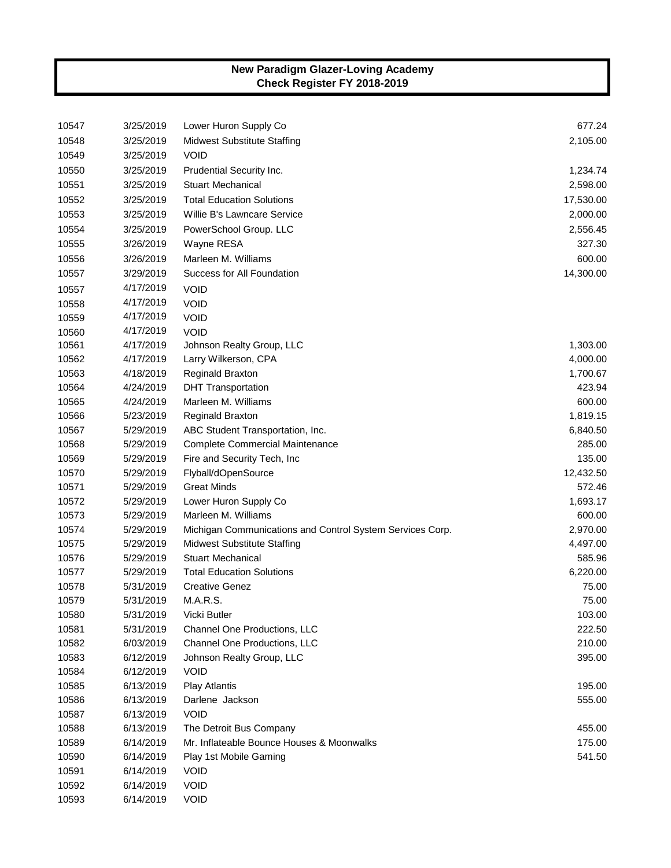| 10548<br>2,105.00<br>3/25/2019<br><b>Midwest Substitute Staffing</b><br>10549<br>3/25/2019<br><b>VOID</b><br>10550<br>3/25/2019<br>Prudential Security Inc.<br>1,234.74<br>10551<br>3/25/2019<br><b>Stuart Mechanical</b><br>2,598.00<br><b>Total Education Solutions</b><br>10552<br>3/25/2019<br>17,530.00<br>10553<br>3/25/2019<br>Willie B's Lawncare Service<br>2,000.00<br>10554<br>3/25/2019<br>PowerSchool Group. LLC<br>2,556.45<br>327.30<br>10555<br>3/26/2019<br>Wayne RESA<br>600.00<br>10556<br>3/26/2019<br>Marleen M. Williams<br>Success for All Foundation<br>14,300.00<br>10557<br>3/29/2019<br>4/17/2019<br>10557<br><b>VOID</b><br>4/17/2019<br><b>VOID</b><br>10558<br>4/17/2019<br>10559<br><b>VOID</b><br>4/17/2019<br><b>VOID</b><br>10560<br>10561<br>4/17/2019<br>Johnson Realty Group, LLC<br>1,303.00<br>10562<br>4/17/2019<br>4,000.00<br>Larry Wilkerson, CPA<br>10563<br>4/18/2019<br>Reginald Braxton<br>1,700.67<br>10564<br>4/24/2019<br>423.94<br><b>DHT Transportation</b><br>10565<br>4/24/2019<br>Marleen M. Williams<br>600.00<br>1,819.15<br>10566<br>5/23/2019<br>Reginald Braxton<br>10567<br>5/29/2019<br>ABC Student Transportation, Inc.<br>6,840.50<br>10568<br>5/29/2019<br>Complete Commercial Maintenance<br>285.00<br>10569<br>5/29/2019<br>135.00<br>Fire and Security Tech, Inc.<br>10570<br>5/29/2019<br>Flyball/dOpenSource<br>12,432.50<br>10571<br>5/29/2019<br><b>Great Minds</b><br>572.46<br>10572<br>5/29/2019<br>Lower Huron Supply Co<br>1,693.17<br>Marleen M. Williams<br>10573<br>5/29/2019<br>600.00<br>10574<br>5/29/2019<br>Michigan Communications and Control System Services Corp.<br>2,970.00<br>10575<br>5/29/2019<br><b>Midwest Substitute Staffing</b><br>4,497.00<br>10576<br>5/29/2019<br><b>Stuart Mechanical</b><br>585.96<br>10577<br>5/29/2019<br><b>Total Education Solutions</b><br>6,220.00<br>10578<br>5/31/2019<br><b>Creative Genez</b><br>75.00<br>10579<br>5/31/2019<br>M.A.R.S.<br>75.00<br>10580<br>5/31/2019<br>Vicki Butler<br>103.00<br>10581<br>222.50<br>5/31/2019<br>Channel One Productions, LLC<br>10582<br>6/03/2019<br>Channel One Productions, LLC<br>210.00<br>10583<br>6/12/2019<br>Johnson Realty Group, LLC<br>395.00<br>10584<br><b>VOID</b><br>6/12/2019<br>10585<br>6/13/2019<br><b>Play Atlantis</b><br>195.00<br>10586<br>6/13/2019<br>Darlene Jackson<br>555.00<br>10587<br>6/13/2019<br><b>VOID</b><br>10588<br>6/13/2019<br>The Detroit Bus Company<br>455.00<br>Mr. Inflateable Bounce Houses & Moonwalks<br>10589<br>6/14/2019<br>175.00<br>10590<br>6/14/2019<br>Play 1st Mobile Gaming<br>541.50<br>10591<br><b>VOID</b><br>6/14/2019<br>10592<br><b>VOID</b><br>6/14/2019<br>10593<br><b>VOID</b><br>6/14/2019 | 10547 | 3/25/2019 | Lower Huron Supply Co | 677.24 |
|----------------------------------------------------------------------------------------------------------------------------------------------------------------------------------------------------------------------------------------------------------------------------------------------------------------------------------------------------------------------------------------------------------------------------------------------------------------------------------------------------------------------------------------------------------------------------------------------------------------------------------------------------------------------------------------------------------------------------------------------------------------------------------------------------------------------------------------------------------------------------------------------------------------------------------------------------------------------------------------------------------------------------------------------------------------------------------------------------------------------------------------------------------------------------------------------------------------------------------------------------------------------------------------------------------------------------------------------------------------------------------------------------------------------------------------------------------------------------------------------------------------------------------------------------------------------------------------------------------------------------------------------------------------------------------------------------------------------------------------------------------------------------------------------------------------------------------------------------------------------------------------------------------------------------------------------------------------------------------------------------------------------------------------------------------------------------------------------------------------------------------------------------------------------------------------------------------------------------------------------------------------------------------------------------------------------------------------------------------------------------------------------------------------------------------------------------------------------------------------------------------------------------------------------------------------------------------------------------------------------------------------------------------------------------------------------------------------------------------------|-------|-----------|-----------------------|--------|
|                                                                                                                                                                                                                                                                                                                                                                                                                                                                                                                                                                                                                                                                                                                                                                                                                                                                                                                                                                                                                                                                                                                                                                                                                                                                                                                                                                                                                                                                                                                                                                                                                                                                                                                                                                                                                                                                                                                                                                                                                                                                                                                                                                                                                                                                                                                                                                                                                                                                                                                                                                                                                                                                                                                                        |       |           |                       |        |
|                                                                                                                                                                                                                                                                                                                                                                                                                                                                                                                                                                                                                                                                                                                                                                                                                                                                                                                                                                                                                                                                                                                                                                                                                                                                                                                                                                                                                                                                                                                                                                                                                                                                                                                                                                                                                                                                                                                                                                                                                                                                                                                                                                                                                                                                                                                                                                                                                                                                                                                                                                                                                                                                                                                                        |       |           |                       |        |
|                                                                                                                                                                                                                                                                                                                                                                                                                                                                                                                                                                                                                                                                                                                                                                                                                                                                                                                                                                                                                                                                                                                                                                                                                                                                                                                                                                                                                                                                                                                                                                                                                                                                                                                                                                                                                                                                                                                                                                                                                                                                                                                                                                                                                                                                                                                                                                                                                                                                                                                                                                                                                                                                                                                                        |       |           |                       |        |
|                                                                                                                                                                                                                                                                                                                                                                                                                                                                                                                                                                                                                                                                                                                                                                                                                                                                                                                                                                                                                                                                                                                                                                                                                                                                                                                                                                                                                                                                                                                                                                                                                                                                                                                                                                                                                                                                                                                                                                                                                                                                                                                                                                                                                                                                                                                                                                                                                                                                                                                                                                                                                                                                                                                                        |       |           |                       |        |
|                                                                                                                                                                                                                                                                                                                                                                                                                                                                                                                                                                                                                                                                                                                                                                                                                                                                                                                                                                                                                                                                                                                                                                                                                                                                                                                                                                                                                                                                                                                                                                                                                                                                                                                                                                                                                                                                                                                                                                                                                                                                                                                                                                                                                                                                                                                                                                                                                                                                                                                                                                                                                                                                                                                                        |       |           |                       |        |
|                                                                                                                                                                                                                                                                                                                                                                                                                                                                                                                                                                                                                                                                                                                                                                                                                                                                                                                                                                                                                                                                                                                                                                                                                                                                                                                                                                                                                                                                                                                                                                                                                                                                                                                                                                                                                                                                                                                                                                                                                                                                                                                                                                                                                                                                                                                                                                                                                                                                                                                                                                                                                                                                                                                                        |       |           |                       |        |
|                                                                                                                                                                                                                                                                                                                                                                                                                                                                                                                                                                                                                                                                                                                                                                                                                                                                                                                                                                                                                                                                                                                                                                                                                                                                                                                                                                                                                                                                                                                                                                                                                                                                                                                                                                                                                                                                                                                                                                                                                                                                                                                                                                                                                                                                                                                                                                                                                                                                                                                                                                                                                                                                                                                                        |       |           |                       |        |
|                                                                                                                                                                                                                                                                                                                                                                                                                                                                                                                                                                                                                                                                                                                                                                                                                                                                                                                                                                                                                                                                                                                                                                                                                                                                                                                                                                                                                                                                                                                                                                                                                                                                                                                                                                                                                                                                                                                                                                                                                                                                                                                                                                                                                                                                                                                                                                                                                                                                                                                                                                                                                                                                                                                                        |       |           |                       |        |
|                                                                                                                                                                                                                                                                                                                                                                                                                                                                                                                                                                                                                                                                                                                                                                                                                                                                                                                                                                                                                                                                                                                                                                                                                                                                                                                                                                                                                                                                                                                                                                                                                                                                                                                                                                                                                                                                                                                                                                                                                                                                                                                                                                                                                                                                                                                                                                                                                                                                                                                                                                                                                                                                                                                                        |       |           |                       |        |
|                                                                                                                                                                                                                                                                                                                                                                                                                                                                                                                                                                                                                                                                                                                                                                                                                                                                                                                                                                                                                                                                                                                                                                                                                                                                                                                                                                                                                                                                                                                                                                                                                                                                                                                                                                                                                                                                                                                                                                                                                                                                                                                                                                                                                                                                                                                                                                                                                                                                                                                                                                                                                                                                                                                                        |       |           |                       |        |
|                                                                                                                                                                                                                                                                                                                                                                                                                                                                                                                                                                                                                                                                                                                                                                                                                                                                                                                                                                                                                                                                                                                                                                                                                                                                                                                                                                                                                                                                                                                                                                                                                                                                                                                                                                                                                                                                                                                                                                                                                                                                                                                                                                                                                                                                                                                                                                                                                                                                                                                                                                                                                                                                                                                                        |       |           |                       |        |
|                                                                                                                                                                                                                                                                                                                                                                                                                                                                                                                                                                                                                                                                                                                                                                                                                                                                                                                                                                                                                                                                                                                                                                                                                                                                                                                                                                                                                                                                                                                                                                                                                                                                                                                                                                                                                                                                                                                                                                                                                                                                                                                                                                                                                                                                                                                                                                                                                                                                                                                                                                                                                                                                                                                                        |       |           |                       |        |
|                                                                                                                                                                                                                                                                                                                                                                                                                                                                                                                                                                                                                                                                                                                                                                                                                                                                                                                                                                                                                                                                                                                                                                                                                                                                                                                                                                                                                                                                                                                                                                                                                                                                                                                                                                                                                                                                                                                                                                                                                                                                                                                                                                                                                                                                                                                                                                                                                                                                                                                                                                                                                                                                                                                                        |       |           |                       |        |
|                                                                                                                                                                                                                                                                                                                                                                                                                                                                                                                                                                                                                                                                                                                                                                                                                                                                                                                                                                                                                                                                                                                                                                                                                                                                                                                                                                                                                                                                                                                                                                                                                                                                                                                                                                                                                                                                                                                                                                                                                                                                                                                                                                                                                                                                                                                                                                                                                                                                                                                                                                                                                                                                                                                                        |       |           |                       |        |
|                                                                                                                                                                                                                                                                                                                                                                                                                                                                                                                                                                                                                                                                                                                                                                                                                                                                                                                                                                                                                                                                                                                                                                                                                                                                                                                                                                                                                                                                                                                                                                                                                                                                                                                                                                                                                                                                                                                                                                                                                                                                                                                                                                                                                                                                                                                                                                                                                                                                                                                                                                                                                                                                                                                                        |       |           |                       |        |
|                                                                                                                                                                                                                                                                                                                                                                                                                                                                                                                                                                                                                                                                                                                                                                                                                                                                                                                                                                                                                                                                                                                                                                                                                                                                                                                                                                                                                                                                                                                                                                                                                                                                                                                                                                                                                                                                                                                                                                                                                                                                                                                                                                                                                                                                                                                                                                                                                                                                                                                                                                                                                                                                                                                                        |       |           |                       |        |
|                                                                                                                                                                                                                                                                                                                                                                                                                                                                                                                                                                                                                                                                                                                                                                                                                                                                                                                                                                                                                                                                                                                                                                                                                                                                                                                                                                                                                                                                                                                                                                                                                                                                                                                                                                                                                                                                                                                                                                                                                                                                                                                                                                                                                                                                                                                                                                                                                                                                                                                                                                                                                                                                                                                                        |       |           |                       |        |
|                                                                                                                                                                                                                                                                                                                                                                                                                                                                                                                                                                                                                                                                                                                                                                                                                                                                                                                                                                                                                                                                                                                                                                                                                                                                                                                                                                                                                                                                                                                                                                                                                                                                                                                                                                                                                                                                                                                                                                                                                                                                                                                                                                                                                                                                                                                                                                                                                                                                                                                                                                                                                                                                                                                                        |       |           |                       |        |
|                                                                                                                                                                                                                                                                                                                                                                                                                                                                                                                                                                                                                                                                                                                                                                                                                                                                                                                                                                                                                                                                                                                                                                                                                                                                                                                                                                                                                                                                                                                                                                                                                                                                                                                                                                                                                                                                                                                                                                                                                                                                                                                                                                                                                                                                                                                                                                                                                                                                                                                                                                                                                                                                                                                                        |       |           |                       |        |
|                                                                                                                                                                                                                                                                                                                                                                                                                                                                                                                                                                                                                                                                                                                                                                                                                                                                                                                                                                                                                                                                                                                                                                                                                                                                                                                                                                                                                                                                                                                                                                                                                                                                                                                                                                                                                                                                                                                                                                                                                                                                                                                                                                                                                                                                                                                                                                                                                                                                                                                                                                                                                                                                                                                                        |       |           |                       |        |
|                                                                                                                                                                                                                                                                                                                                                                                                                                                                                                                                                                                                                                                                                                                                                                                                                                                                                                                                                                                                                                                                                                                                                                                                                                                                                                                                                                                                                                                                                                                                                                                                                                                                                                                                                                                                                                                                                                                                                                                                                                                                                                                                                                                                                                                                                                                                                                                                                                                                                                                                                                                                                                                                                                                                        |       |           |                       |        |
|                                                                                                                                                                                                                                                                                                                                                                                                                                                                                                                                                                                                                                                                                                                                                                                                                                                                                                                                                                                                                                                                                                                                                                                                                                                                                                                                                                                                                                                                                                                                                                                                                                                                                                                                                                                                                                                                                                                                                                                                                                                                                                                                                                                                                                                                                                                                                                                                                                                                                                                                                                                                                                                                                                                                        |       |           |                       |        |
|                                                                                                                                                                                                                                                                                                                                                                                                                                                                                                                                                                                                                                                                                                                                                                                                                                                                                                                                                                                                                                                                                                                                                                                                                                                                                                                                                                                                                                                                                                                                                                                                                                                                                                                                                                                                                                                                                                                                                                                                                                                                                                                                                                                                                                                                                                                                                                                                                                                                                                                                                                                                                                                                                                                                        |       |           |                       |        |
|                                                                                                                                                                                                                                                                                                                                                                                                                                                                                                                                                                                                                                                                                                                                                                                                                                                                                                                                                                                                                                                                                                                                                                                                                                                                                                                                                                                                                                                                                                                                                                                                                                                                                                                                                                                                                                                                                                                                                                                                                                                                                                                                                                                                                                                                                                                                                                                                                                                                                                                                                                                                                                                                                                                                        |       |           |                       |        |
|                                                                                                                                                                                                                                                                                                                                                                                                                                                                                                                                                                                                                                                                                                                                                                                                                                                                                                                                                                                                                                                                                                                                                                                                                                                                                                                                                                                                                                                                                                                                                                                                                                                                                                                                                                                                                                                                                                                                                                                                                                                                                                                                                                                                                                                                                                                                                                                                                                                                                                                                                                                                                                                                                                                                        |       |           |                       |        |
|                                                                                                                                                                                                                                                                                                                                                                                                                                                                                                                                                                                                                                                                                                                                                                                                                                                                                                                                                                                                                                                                                                                                                                                                                                                                                                                                                                                                                                                                                                                                                                                                                                                                                                                                                                                                                                                                                                                                                                                                                                                                                                                                                                                                                                                                                                                                                                                                                                                                                                                                                                                                                                                                                                                                        |       |           |                       |        |
|                                                                                                                                                                                                                                                                                                                                                                                                                                                                                                                                                                                                                                                                                                                                                                                                                                                                                                                                                                                                                                                                                                                                                                                                                                                                                                                                                                                                                                                                                                                                                                                                                                                                                                                                                                                                                                                                                                                                                                                                                                                                                                                                                                                                                                                                                                                                                                                                                                                                                                                                                                                                                                                                                                                                        |       |           |                       |        |
|                                                                                                                                                                                                                                                                                                                                                                                                                                                                                                                                                                                                                                                                                                                                                                                                                                                                                                                                                                                                                                                                                                                                                                                                                                                                                                                                                                                                                                                                                                                                                                                                                                                                                                                                                                                                                                                                                                                                                                                                                                                                                                                                                                                                                                                                                                                                                                                                                                                                                                                                                                                                                                                                                                                                        |       |           |                       |        |
|                                                                                                                                                                                                                                                                                                                                                                                                                                                                                                                                                                                                                                                                                                                                                                                                                                                                                                                                                                                                                                                                                                                                                                                                                                                                                                                                                                                                                                                                                                                                                                                                                                                                                                                                                                                                                                                                                                                                                                                                                                                                                                                                                                                                                                                                                                                                                                                                                                                                                                                                                                                                                                                                                                                                        |       |           |                       |        |
|                                                                                                                                                                                                                                                                                                                                                                                                                                                                                                                                                                                                                                                                                                                                                                                                                                                                                                                                                                                                                                                                                                                                                                                                                                                                                                                                                                                                                                                                                                                                                                                                                                                                                                                                                                                                                                                                                                                                                                                                                                                                                                                                                                                                                                                                                                                                                                                                                                                                                                                                                                                                                                                                                                                                        |       |           |                       |        |
|                                                                                                                                                                                                                                                                                                                                                                                                                                                                                                                                                                                                                                                                                                                                                                                                                                                                                                                                                                                                                                                                                                                                                                                                                                                                                                                                                                                                                                                                                                                                                                                                                                                                                                                                                                                                                                                                                                                                                                                                                                                                                                                                                                                                                                                                                                                                                                                                                                                                                                                                                                                                                                                                                                                                        |       |           |                       |        |
|                                                                                                                                                                                                                                                                                                                                                                                                                                                                                                                                                                                                                                                                                                                                                                                                                                                                                                                                                                                                                                                                                                                                                                                                                                                                                                                                                                                                                                                                                                                                                                                                                                                                                                                                                                                                                                                                                                                                                                                                                                                                                                                                                                                                                                                                                                                                                                                                                                                                                                                                                                                                                                                                                                                                        |       |           |                       |        |
|                                                                                                                                                                                                                                                                                                                                                                                                                                                                                                                                                                                                                                                                                                                                                                                                                                                                                                                                                                                                                                                                                                                                                                                                                                                                                                                                                                                                                                                                                                                                                                                                                                                                                                                                                                                                                                                                                                                                                                                                                                                                                                                                                                                                                                                                                                                                                                                                                                                                                                                                                                                                                                                                                                                                        |       |           |                       |        |
|                                                                                                                                                                                                                                                                                                                                                                                                                                                                                                                                                                                                                                                                                                                                                                                                                                                                                                                                                                                                                                                                                                                                                                                                                                                                                                                                                                                                                                                                                                                                                                                                                                                                                                                                                                                                                                                                                                                                                                                                                                                                                                                                                                                                                                                                                                                                                                                                                                                                                                                                                                                                                                                                                                                                        |       |           |                       |        |
|                                                                                                                                                                                                                                                                                                                                                                                                                                                                                                                                                                                                                                                                                                                                                                                                                                                                                                                                                                                                                                                                                                                                                                                                                                                                                                                                                                                                                                                                                                                                                                                                                                                                                                                                                                                                                                                                                                                                                                                                                                                                                                                                                                                                                                                                                                                                                                                                                                                                                                                                                                                                                                                                                                                                        |       |           |                       |        |
|                                                                                                                                                                                                                                                                                                                                                                                                                                                                                                                                                                                                                                                                                                                                                                                                                                                                                                                                                                                                                                                                                                                                                                                                                                                                                                                                                                                                                                                                                                                                                                                                                                                                                                                                                                                                                                                                                                                                                                                                                                                                                                                                                                                                                                                                                                                                                                                                                                                                                                                                                                                                                                                                                                                                        |       |           |                       |        |
|                                                                                                                                                                                                                                                                                                                                                                                                                                                                                                                                                                                                                                                                                                                                                                                                                                                                                                                                                                                                                                                                                                                                                                                                                                                                                                                                                                                                                                                                                                                                                                                                                                                                                                                                                                                                                                                                                                                                                                                                                                                                                                                                                                                                                                                                                                                                                                                                                                                                                                                                                                                                                                                                                                                                        |       |           |                       |        |
|                                                                                                                                                                                                                                                                                                                                                                                                                                                                                                                                                                                                                                                                                                                                                                                                                                                                                                                                                                                                                                                                                                                                                                                                                                                                                                                                                                                                                                                                                                                                                                                                                                                                                                                                                                                                                                                                                                                                                                                                                                                                                                                                                                                                                                                                                                                                                                                                                                                                                                                                                                                                                                                                                                                                        |       |           |                       |        |
|                                                                                                                                                                                                                                                                                                                                                                                                                                                                                                                                                                                                                                                                                                                                                                                                                                                                                                                                                                                                                                                                                                                                                                                                                                                                                                                                                                                                                                                                                                                                                                                                                                                                                                                                                                                                                                                                                                                                                                                                                                                                                                                                                                                                                                                                                                                                                                                                                                                                                                                                                                                                                                                                                                                                        |       |           |                       |        |
|                                                                                                                                                                                                                                                                                                                                                                                                                                                                                                                                                                                                                                                                                                                                                                                                                                                                                                                                                                                                                                                                                                                                                                                                                                                                                                                                                                                                                                                                                                                                                                                                                                                                                                                                                                                                                                                                                                                                                                                                                                                                                                                                                                                                                                                                                                                                                                                                                                                                                                                                                                                                                                                                                                                                        |       |           |                       |        |
|                                                                                                                                                                                                                                                                                                                                                                                                                                                                                                                                                                                                                                                                                                                                                                                                                                                                                                                                                                                                                                                                                                                                                                                                                                                                                                                                                                                                                                                                                                                                                                                                                                                                                                                                                                                                                                                                                                                                                                                                                                                                                                                                                                                                                                                                                                                                                                                                                                                                                                                                                                                                                                                                                                                                        |       |           |                       |        |
|                                                                                                                                                                                                                                                                                                                                                                                                                                                                                                                                                                                                                                                                                                                                                                                                                                                                                                                                                                                                                                                                                                                                                                                                                                                                                                                                                                                                                                                                                                                                                                                                                                                                                                                                                                                                                                                                                                                                                                                                                                                                                                                                                                                                                                                                                                                                                                                                                                                                                                                                                                                                                                                                                                                                        |       |           |                       |        |
|                                                                                                                                                                                                                                                                                                                                                                                                                                                                                                                                                                                                                                                                                                                                                                                                                                                                                                                                                                                                                                                                                                                                                                                                                                                                                                                                                                                                                                                                                                                                                                                                                                                                                                                                                                                                                                                                                                                                                                                                                                                                                                                                                                                                                                                                                                                                                                                                                                                                                                                                                                                                                                                                                                                                        |       |           |                       |        |
|                                                                                                                                                                                                                                                                                                                                                                                                                                                                                                                                                                                                                                                                                                                                                                                                                                                                                                                                                                                                                                                                                                                                                                                                                                                                                                                                                                                                                                                                                                                                                                                                                                                                                                                                                                                                                                                                                                                                                                                                                                                                                                                                                                                                                                                                                                                                                                                                                                                                                                                                                                                                                                                                                                                                        |       |           |                       |        |
|                                                                                                                                                                                                                                                                                                                                                                                                                                                                                                                                                                                                                                                                                                                                                                                                                                                                                                                                                                                                                                                                                                                                                                                                                                                                                                                                                                                                                                                                                                                                                                                                                                                                                                                                                                                                                                                                                                                                                                                                                                                                                                                                                                                                                                                                                                                                                                                                                                                                                                                                                                                                                                                                                                                                        |       |           |                       |        |
|                                                                                                                                                                                                                                                                                                                                                                                                                                                                                                                                                                                                                                                                                                                                                                                                                                                                                                                                                                                                                                                                                                                                                                                                                                                                                                                                                                                                                                                                                                                                                                                                                                                                                                                                                                                                                                                                                                                                                                                                                                                                                                                                                                                                                                                                                                                                                                                                                                                                                                                                                                                                                                                                                                                                        |       |           |                       |        |
|                                                                                                                                                                                                                                                                                                                                                                                                                                                                                                                                                                                                                                                                                                                                                                                                                                                                                                                                                                                                                                                                                                                                                                                                                                                                                                                                                                                                                                                                                                                                                                                                                                                                                                                                                                                                                                                                                                                                                                                                                                                                                                                                                                                                                                                                                                                                                                                                                                                                                                                                                                                                                                                                                                                                        |       |           |                       |        |
|                                                                                                                                                                                                                                                                                                                                                                                                                                                                                                                                                                                                                                                                                                                                                                                                                                                                                                                                                                                                                                                                                                                                                                                                                                                                                                                                                                                                                                                                                                                                                                                                                                                                                                                                                                                                                                                                                                                                                                                                                                                                                                                                                                                                                                                                                                                                                                                                                                                                                                                                                                                                                                                                                                                                        |       |           |                       |        |